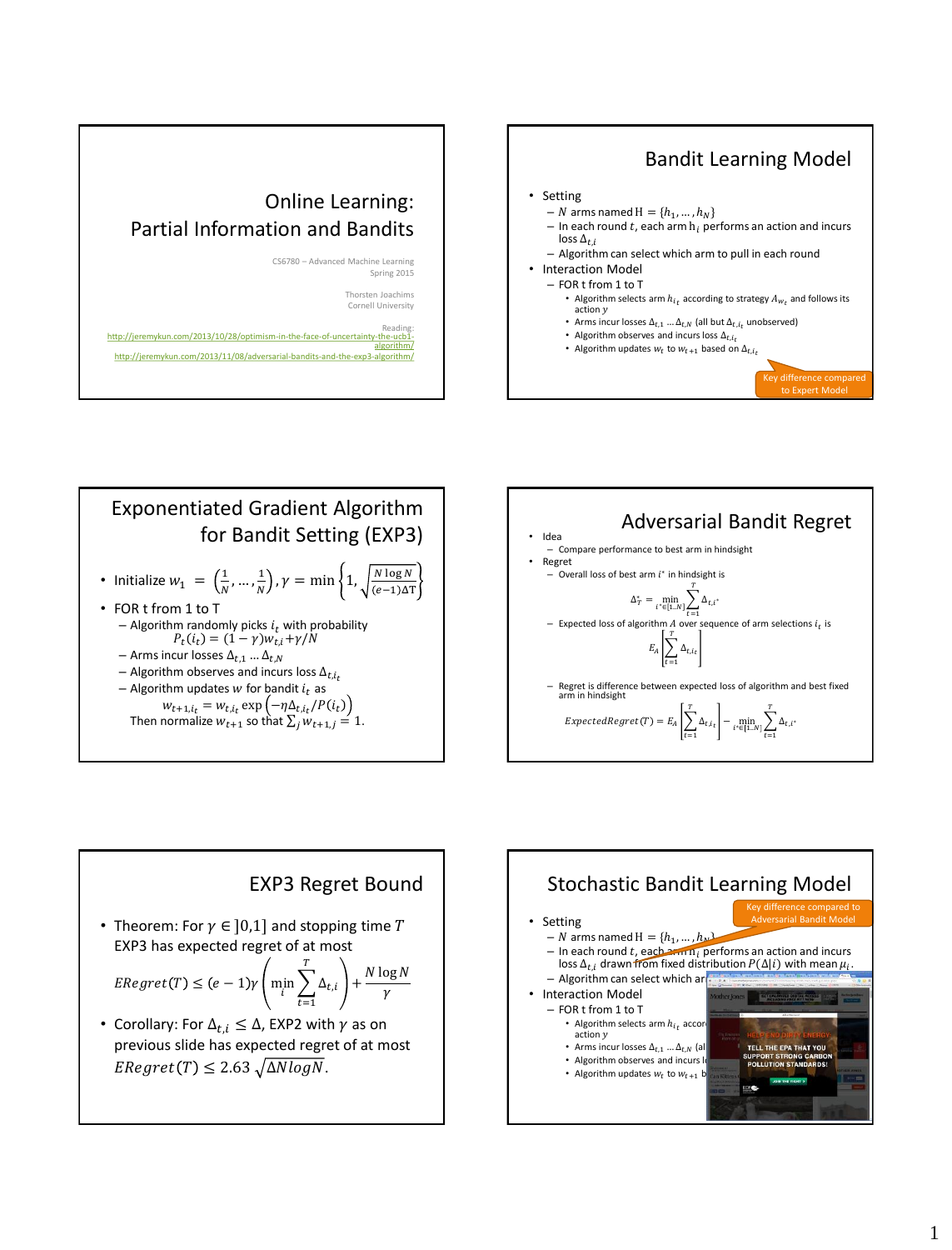